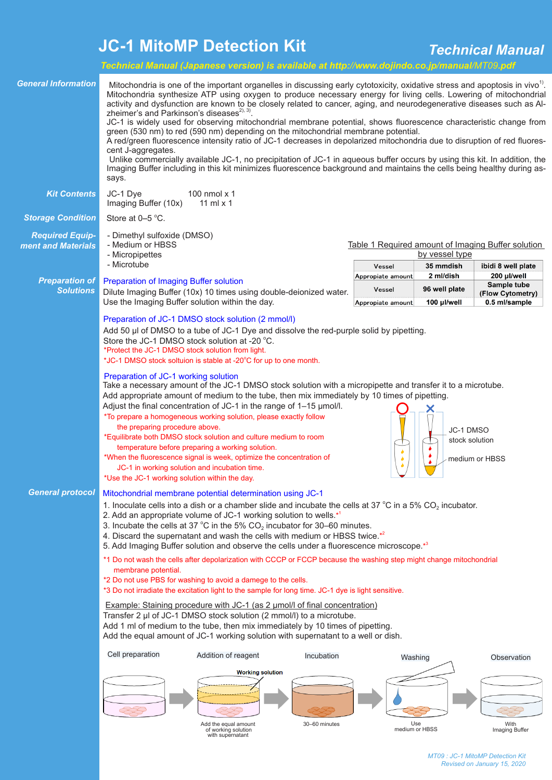## **JC-1 MitoMP Detection Kit** *Technical Manual*

|                                                                                      |                                                                                                                                                                                                                                                                                                                                                                                                                                                                                                                                                                                                                                                                                                                                                                                                                                                                                                                                                                                                                                                                                                                        | Technical Manual (Japanese version) is available at http://www.dojindo.co.jp/manual/MT09.pdf |               |                                                                      |                        |                                   |
|--------------------------------------------------------------------------------------|------------------------------------------------------------------------------------------------------------------------------------------------------------------------------------------------------------------------------------------------------------------------------------------------------------------------------------------------------------------------------------------------------------------------------------------------------------------------------------------------------------------------------------------------------------------------------------------------------------------------------------------------------------------------------------------------------------------------------------------------------------------------------------------------------------------------------------------------------------------------------------------------------------------------------------------------------------------------------------------------------------------------------------------------------------------------------------------------------------------------|----------------------------------------------------------------------------------------------|---------------|----------------------------------------------------------------------|------------------------|-----------------------------------|
| <b>General Information</b>                                                           | Mitochondria is one of the important organelles in discussing early cytotoxicity, oxidative stress and apoptosis in vivo <sup>1)</sup> .<br>Mitochondria synthesize ATP using oxygen to produce necessary energy for living cells. Lowering of mitochondrial<br>activity and dysfunction are known to be closely related to cancer, aging, and neurodegenerative diseases such as Al-<br>zheimer's and Parkinson's diseases <sup>2), 3)</sup> .<br>JC-1 is widely used for observing mitochondrial membrane potential, shows fluorescence characteristic change from<br>green (530 nm) to red (590 nm) depending on the mitochondrial membrane potential.<br>A red/green fluorescence intensity ratio of JC-1 decreases in depolarized mitochondria due to disruption of red fluores-<br>cent J-aggregates.<br>Unlike commercially available JC-1, no precipitation of JC-1 in aqueous buffer occurs by using this kit. In addition, the<br>Imaging Buffer including in this kit minimizes fluorescence background and maintains the cells being healthy during as-<br>says.                                           |                                                                                              |               |                                                                      |                        |                                   |
| <b>Kit Contents</b>                                                                  | JC-1 Dye<br>Imaging Buffer (10x)                                                                                                                                                                                                                                                                                                                                                                                                                                                                                                                                                                                                                                                                                                                                                                                                                                                                                                                                                                                                                                                                                       | 100 nmol x 1<br>11 ml $\times$ 1                                                             |               |                                                                      |                        |                                   |
| <b>Storage Condition</b>                                                             | Store at 0-5 °C.                                                                                                                                                                                                                                                                                                                                                                                                                                                                                                                                                                                                                                                                                                                                                                                                                                                                                                                                                                                                                                                                                                       |                                                                                              |               |                                                                      |                        |                                   |
| <b>Required Equip-</b><br>ment and Materials                                         | - Dimethyl sulfoxide (DMSO)<br>- Medium or HBSS<br>- Micropipettes<br>- Microtube                                                                                                                                                                                                                                                                                                                                                                                                                                                                                                                                                                                                                                                                                                                                                                                                                                                                                                                                                                                                                                      |                                                                                              |               | Table 1 Required amount of Imaging Buffer solution<br>by vessel type |                        |                                   |
|                                                                                      |                                                                                                                                                                                                                                                                                                                                                                                                                                                                                                                                                                                                                                                                                                                                                                                                                                                                                                                                                                                                                                                                                                                        |                                                                                              |               | Vessel<br>Appropiate amount                                          | 35 mmdish<br>2 ml/dish | ibidi 8 well plate<br>200 µl/well |
| <b>Preparation of</b><br><b>Solutions</b>                                            | Preparation of Imaging Buffer solution<br>Dilute Imaging Buffer (10x) 10 times using double-deionized water.<br>Use the Imaging Buffer solution within the day.                                                                                                                                                                                                                                                                                                                                                                                                                                                                                                                                                                                                                                                                                                                                                                                                                                                                                                                                                        |                                                                                              |               | Vessel                                                               | 96 well plate          | Sample tube                       |
|                                                                                      |                                                                                                                                                                                                                                                                                                                                                                                                                                                                                                                                                                                                                                                                                                                                                                                                                                                                                                                                                                                                                                                                                                                        |                                                                                              |               | Appropiate amount                                                    | 100 µl/well            | (Flow Cytometry)<br>0.5 ml/sample |
|                                                                                      | Preparation of JC-1 DMSO stock solution (2 mmol/l)<br>Add 50 µl of DMSO to a tube of JC-1 Dye and dissolve the red-purple solid by pipetting.<br>Store the JC-1 DMSO stock solution at -20 °C.<br>*Protect the JC-1 DMSO stock solution from light.<br>*JC-1 DMSO stock soltuion is stable at -20°C for up to one month.<br>Preparation of JC-1 working solution<br>Take a necessary amount of the JC-1 DMSO stock solution with a micropipette and transfer it to a microtube.<br>Add appropriate amount of medium to the tube, then mix immediately by 10 times of pipetting.<br>Adjust the final concentration of JC-1 in the range of 1-15 µmol/l.<br>*To prepare a homogeneous working solution, please exactly follow<br>the preparing procedure above.<br>JC-1 DMSO<br>*Equilibrate both DMSO stock solution and culture medium to room<br>stock solution<br>temperature before preparing a working solution.<br>*When the fluorescence signal is week, optimize the concentration of<br>medium or HBSS<br>٠<br>JC-1 in working solution and incubation time.<br>*Use the JC-1 working solution within the day. |                                                                                              |               |                                                                      |                        |                                   |
|                                                                                      |                                                                                                                                                                                                                                                                                                                                                                                                                                                                                                                                                                                                                                                                                                                                                                                                                                                                                                                                                                                                                                                                                                                        |                                                                                              |               |                                                                      |                        |                                   |
| <b>General protocol</b><br>Mitochondrial membrane potential determination using JC-1 |                                                                                                                                                                                                                                                                                                                                                                                                                                                                                                                                                                                                                                                                                                                                                                                                                                                                                                                                                                                                                                                                                                                        |                                                                                              |               |                                                                      |                        |                                   |
|                                                                                      | 1. Inoculate cells into a dish or a chamber slide and incubate the cells at 37 °C in a 5% $CO_2$ incubator.<br>2. Add an appropriate volume of JC-1 working solution to wells. <sup>*1</sup><br>3. Incubate the cells at 37 °C in the 5% $CO2$ incubator for 30–60 minutes.<br>4. Discard the supernatant and wash the cells with medium or HBSS twice.*2<br>5. Add Imaging Buffer solution and observe the cells under a fluorescence microscope. <sup>*3</sup><br>*1 Do not wash the cells after depolarization with CCCP or FCCP because the washing step might change mitochondrial<br>membrane potential.<br>*2 Do not use PBS for washing to avoid a damege to the cells.<br>*3 Do not irradiate the excitation light to the sample for long time. JC-1 dye is light sensitive.<br>Example: Staining procedure with JC-1 (as 2 µmol/l of final concentration)<br>Transfer 2 µl of JC-1 DMSO stock solution (2 mmol/l) to a microtube.<br>Add 1 ml of medium to the tube, then mix immediately by 10 times of pipetting.<br>Add the equal amount of JC-1 working solution with supernatant to a well or dish.     |                                                                                              |               |                                                                      |                        |                                   |
|                                                                                      |                                                                                                                                                                                                                                                                                                                                                                                                                                                                                                                                                                                                                                                                                                                                                                                                                                                                                                                                                                                                                                                                                                                        |                                                                                              |               |                                                                      |                        |                                   |
|                                                                                      | Cell preparation                                                                                                                                                                                                                                                                                                                                                                                                                                                                                                                                                                                                                                                                                                                                                                                                                                                                                                                                                                                                                                                                                                       | Addition of reagent                                                                          | Incubation    | Washing                                                              |                        | Observation                       |
|                                                                                      |                                                                                                                                                                                                                                                                                                                                                                                                                                                                                                                                                                                                                                                                                                                                                                                                                                                                                                                                                                                                                                                                                                                        | <b>Working solution</b><br>Add the equal amount<br>of working solution<br>with supernatant   | 30-60 minutes | Use<br>medium or HBSS                                                |                        | With<br>Imaging Buffer            |
|                                                                                      |                                                                                                                                                                                                                                                                                                                                                                                                                                                                                                                                                                                                                                                                                                                                                                                                                                                                                                                                                                                                                                                                                                                        |                                                                                              |               |                                                                      |                        |                                   |

*MT09 : JC-1 MitoMP Detection Kit Revised on January 15, 2020*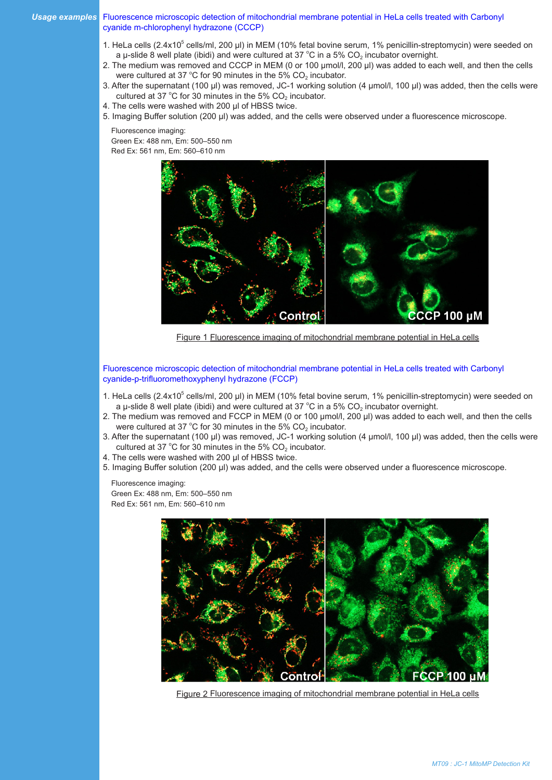## *Usage examples* Fluorescence microscopic detection of mitochondrial membrane potential in HeLa cells treated with Carbonyl cyanide m-chlorophenyl hydrazone (CCCP)

- 1. HeLa cells (2.4x10<sup>5</sup> cells/ml, 200 µl) in MEM (10% fetal bovine serum, 1% penicillin-streptomycin) were seeded on a µ-slide 8 well plate (ibidi) and were cultured at 37 °C in a 5% CO<sub>2</sub> incubator overnight.
- 2. The medium was removed and CCCP in MEM (0 or 100 μmol/l, 200 μl) was added to each well, and then the cells were cultured at 37 °C for 90 minutes in the 5%  $CO<sub>2</sub>$  incubator.
- 3. After the supernatant (100 μl) was removed, JC-1 working solution (4 μmol/l, 100 μl) was added, then the cells were cultured at 37 °C for 30 minutes in the 5%  $CO<sub>2</sub>$  incubator.
- 4. The cells were washed with 200 μl of HBSS twice.
- 5. Imaging Buffer solution (200 μl) was added, and the cells were observed under a fluorescence microscope.

Fluorescence imaging:

Green Ex: 488 nm, Em: 500–550 nm Red Ex: 561 nm, Em: 560–610 nm



Figure 1 Fluorescence imaging of mitochondrial membrane potential in HeLa cells

Fluorescence microscopic detection of mitochondrial membrane potential in HeLa cells treated with Carbonyl cyanide-p-trifluoromethoxyphenyl hydrazone (FCCP)

- 1. HeLa cells (2.4x10<sup>5</sup> cells/ml, 200 µl) in MEM (10% fetal bovine serum, 1% penicillin-streptomycin) were seeded on a µ-slide 8 well plate (ibidi) and were cultured at 37 °C in a 5% CO<sub>2</sub> incubator overnight.
- 2. The medium was removed and FCCP in MEM (0 or 100 μmol/l, 200 μl) was added to each well, and then the cells were cultured at 37 °C for 30 minutes in the 5%  $\mathrm{CO}_2$  incubator.
- 3. After the supernatant (100 μl) was removed, JC-1 working solution (4 μmol/l, 100 μl) was added, then the cells were cultured at 37 °C for 30 minutes in the 5%  $CO<sub>2</sub>$  incubator.
- 4. The cells were washed with 200 μl of HBSS twice.
- 5. Imaging Buffer solution (200 μl) was added, and the cells were observed under a fluorescence microscope.

Fluorescence imaging: Green Ex: 488 nm, Em: 500–550 nm Red Ex: 561 nm, Em: 560–610 nm



Figure 2 Fluorescence imaging of mitochondrial membrane potential in HeLa cells